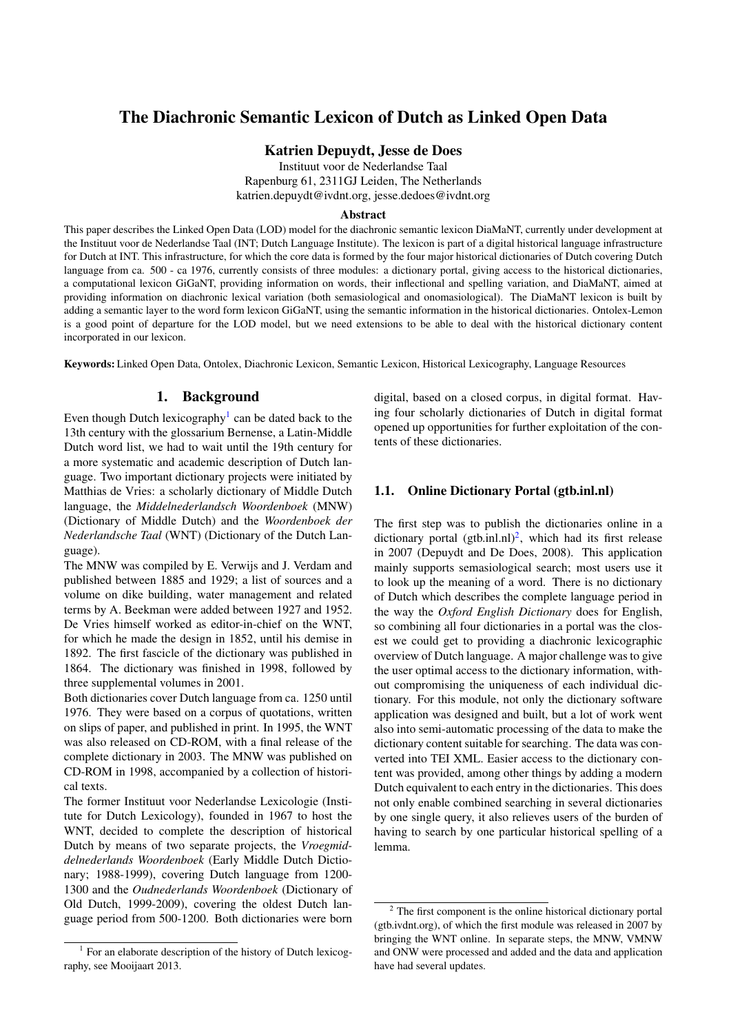# <span id="page-0-2"></span>The Diachronic Semantic Lexicon of Dutch as Linked Open Data

# Katrien Depuydt, Jesse de Does

Instituut voor de Nederlandse Taal Rapenburg 61, 2311GJ Leiden, The Netherlands katrien.depuydt@ivdnt.org, jesse.dedoes@ivdnt.org

#### Abstract

This paper describes the Linked Open Data (LOD) model for the diachronic semantic lexicon DiaMaNT, currently under development at the Instituut voor de Nederlandse Taal (INT; Dutch Language Institute). The lexicon is part of a digital historical language infrastructure for Dutch at INT. This infrastructure, for which the core data is formed by the four major historical dictionaries of Dutch covering Dutch language from ca. 500 - ca 1976, currently consists of three modules: a dictionary portal, giving access to the historical dictionaries, a computational lexicon GiGaNT, providing information on words, their inflectional and spelling variation, and DiaMaNT, aimed at providing information on diachronic lexical variation (both semasiological and onomasiological). The DiaMaNT lexicon is built by adding a semantic layer to the word form lexicon GiGaNT, using the semantic information in the historical dictionaries. Ontolex-Lemon is a good point of departure for the LOD model, but we need extensions to be able to deal with the historical dictionary content incorporated in our lexicon.

Keywords: Linked Open Data, Ontolex, Diachronic Lexicon, Semantic Lexicon, Historical Lexicography, Language Resources

# 1. Background

Even though Dutch lexicography<sup>[1](#page-0-0)</sup> can be dated back to the 13th century with the glossarium Bernense, a Latin-Middle Dutch word list, we had to wait until the 19th century for a more systematic and academic description of Dutch language. Two important dictionary projects were initiated by Matthias de Vries: a scholarly dictionary of Middle Dutch language, the *Middelnederlandsch Woordenboek* (MNW) (Dictionary of Middle Dutch) and the *Woordenboek der Nederlandsche Taal* (WNT) (Dictionary of the Dutch Language).

The MNW was compiled by E. Verwijs and J. Verdam and published between 1885 and 1929; a list of sources and a volume on dike building, water management and related terms by A. Beekman were added between 1927 and 1952. De Vries himself worked as editor-in-chief on the WNT, for which he made the design in 1852, until his demise in 1892. The first fascicle of the dictionary was published in 1864. The dictionary was finished in 1998, followed by three supplemental volumes in 2001.

Both dictionaries cover Dutch language from ca. 1250 until 1976. They were based on a corpus of quotations, written on slips of paper, and published in print. In 1995, the WNT was also released on CD-ROM, with a final release of the complete dictionary in 2003. The MNW was published on CD-ROM in 1998, accompanied by a collection of historical texts.

The former Instituut voor Nederlandse Lexicologie (Institute for Dutch Lexicology), founded in 1967 to host the WNT, decided to complete the description of historical Dutch by means of two separate projects, the *Vroegmiddelnederlands Woordenboek* (Early Middle Dutch Dictionary; 1988-1999), covering Dutch language from 1200- 1300 and the *Oudnederlands Woordenboek* (Dictionary of Old Dutch, 1999-2009), covering the oldest Dutch language period from 500-1200. Both dictionaries were born digital, based on a closed corpus, in digital format. Having four scholarly dictionaries of Dutch in digital format opened up opportunities for further exploitation of the contents of these dictionaries.

## 1.1. Online Dictionary Portal (gtb.inl.nl)

The first step was to publish the dictionaries online in a dictionary portal  $(gtb.inl.nl)<sup>2</sup>$  $(gtb.inl.nl)<sup>2</sup>$  $(gtb.inl.nl)<sup>2</sup>$ , which had its first release in 2007 (Depuydt and De Does, 2008). This application mainly supports semasiological search; most users use it to look up the meaning of a word. There is no dictionary of Dutch which describes the complete language period in the way the *Oxford English Dictionary* does for English, so combining all four dictionaries in a portal was the closest we could get to providing a diachronic lexicographic overview of Dutch language. A major challenge was to give the user optimal access to the dictionary information, without compromising the uniqueness of each individual dictionary. For this module, not only the dictionary software application was designed and built, but a lot of work went also into semi-automatic processing of the data to make the dictionary content suitable for searching. The data was converted into TEI XML. Easier access to the dictionary content was provided, among other things by adding a modern Dutch equivalent to each entry in the dictionaries. This does not only enable combined searching in several dictionaries by one single query, it also relieves users of the burden of having to search by one particular historical spelling of a lemma.

<span id="page-0-0"></span><sup>&</sup>lt;sup>1</sup> For an elaborate description of the history of Dutch lexicography, see Mooijaart 2013.

<span id="page-0-1"></span><sup>2</sup> The first component is the online historical dictionary portal (gtb.ivdnt.org), of which the first module was released in 2007 by bringing the WNT online. In separate steps, the MNW, VMNW and ONW were processed and added and the data and application have had several updates.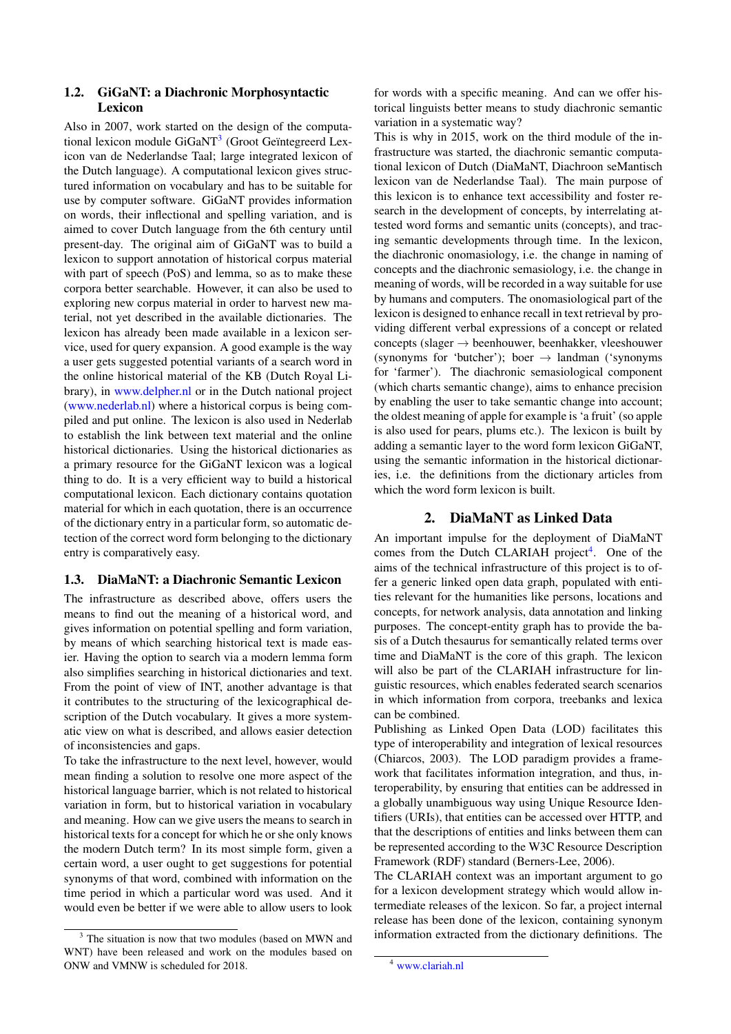## 1.2. GiGaNT: a Diachronic Morphosyntactic Lexicon

Also in 2007, work started on the design of the computa-tional lexicon module GiGaNT<sup>[3](#page-1-0)</sup> (Groot Geïntegreerd Lexicon van de Nederlandse Taal; large integrated lexicon of the Dutch language). A computational lexicon gives structured information on vocabulary and has to be suitable for use by computer software. GiGaNT provides information on words, their inflectional and spelling variation, and is aimed to cover Dutch language from the 6th century until present-day. The original aim of GiGaNT was to build a lexicon to support annotation of historical corpus material with part of speech (PoS) and lemma, so as to make these corpora better searchable. However, it can also be used to exploring new corpus material in order to harvest new material, not yet described in the available dictionaries. The lexicon has already been made available in a lexicon service, used for query expansion. A good example is the way a user gets suggested potential variants of a search word in the online historical material of the KB (Dutch Royal Library), in [www.delpher.nl](http://www.delpher.nl/) or in the Dutch national project [\(www.nederlab.nl\)](http://www.nederlab.nl)) where a historical corpus is being compiled and put online. The lexicon is also used in Nederlab to establish the link between text material and the online historical dictionaries. Using the historical dictionaries as a primary resource for the GiGaNT lexicon was a logical thing to do. It is a very efficient way to build a historical computational lexicon. Each dictionary contains quotation material for which in each quotation, there is an occurrence of the dictionary entry in a particular form, so automatic detection of the correct word form belonging to the dictionary entry is comparatively easy.

# 1.3. DiaMaNT: a Diachronic Semantic Lexicon

The infrastructure as described above, offers users the means to find out the meaning of a historical word, and gives information on potential spelling and form variation, by means of which searching historical text is made easier. Having the option to search via a modern lemma form also simplifies searching in historical dictionaries and text. From the point of view of INT, another advantage is that it contributes to the structuring of the lexicographical description of the Dutch vocabulary. It gives a more systematic view on what is described, and allows easier detection of inconsistencies and gaps.

To take the infrastructure to the next level, however, would mean finding a solution to resolve one more aspect of the historical language barrier, which is not related to historical variation in form, but to historical variation in vocabulary and meaning. How can we give users the means to search in historical texts for a concept for which he or she only knows the modern Dutch term? In its most simple form, given a certain word, a user ought to get suggestions for potential synonyms of that word, combined with information on the time period in which a particular word was used. And it would even be better if we were able to allow users to look

for words with a specific meaning. And can we offer historical linguists better means to study diachronic semantic variation in a systematic way?

This is why in 2015, work on the third module of the infrastructure was started, the diachronic semantic computational lexicon of Dutch (DiaMaNT, Diachroon seMantisch lexicon van de Nederlandse Taal). The main purpose of this lexicon is to enhance text accessibility and foster research in the development of concepts, by interrelating attested word forms and semantic units (concepts), and tracing semantic developments through time. In the lexicon, the diachronic onomasiology, i.e. the change in naming of concepts and the diachronic semasiology, i.e. the change in meaning of words, will be recorded in a way suitable for use by humans and computers. The onomasiological part of the lexicon is designed to enhance recall in text retrieval by providing different verbal expressions of a concept or related concepts (slager  $\rightarrow$  beenhouwer, beenhakker, vleeshouwer (synonyms for 'butcher'); boer  $\rightarrow$  landman ('synonyms for 'farmer'). The diachronic semasiological component (which charts semantic change), aims to enhance precision by enabling the user to take semantic change into account; the oldest meaning of apple for example is 'a fruit' (so apple is also used for pears, plums etc.). The lexicon is built by adding a semantic layer to the word form lexicon GiGaNT, using the semantic information in the historical dictionaries, i.e. the definitions from the dictionary articles from which the word form lexicon is built.

# 2. DiaMaNT as Linked Data

An important impulse for the deployment of DiaMaNT comes from the Dutch CLARIAH project<sup>[4](#page-1-1)</sup>. One of the aims of the technical infrastructure of this project is to offer a generic linked open data graph, populated with entities relevant for the humanities like persons, locations and concepts, for network analysis, data annotation and linking purposes. The concept-entity graph has to provide the basis of a Dutch thesaurus for semantically related terms over time and DiaMaNT is the core of this graph. The lexicon will also be part of the CLARIAH infrastructure for linguistic resources, which enables federated search scenarios in which information from corpora, treebanks and lexica can be combined.

Publishing as Linked Open Data (LOD) facilitates this type of interoperability and integration of lexical resources (Chiarcos, 2003). The LOD paradigm provides a framework that facilitates information integration, and thus, interoperability, by ensuring that entities can be addressed in a globally unambiguous way using Unique Resource Identifiers (URIs), that entities can be accessed over HTTP, and that the descriptions of entities and links between them can be represented according to the W3C Resource Description Framework (RDF) standard (Berners-Lee, 2006).

The CLARIAH context was an important argument to go for a lexicon development strategy which would allow intermediate releases of the lexicon. So far, a project internal release has been done of the lexicon, containing synonym information extracted from the dictionary definitions. The

<span id="page-1-0"></span><sup>&</sup>lt;sup>3</sup> The situation is now that two modules (based on MWN and WNT) have been released and work on the modules based on ONW and VMNW is scheduled for 2018.

<span id="page-1-1"></span><sup>4</sup> [www.clariah.nl](http://www.clariah.nl)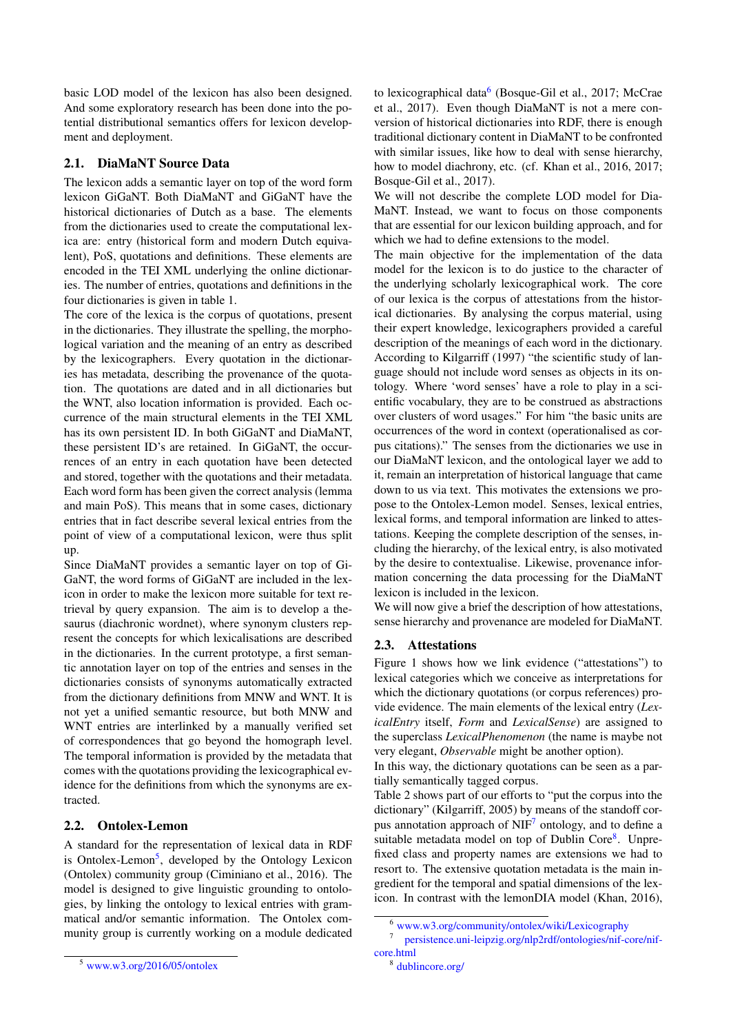basic LOD model of the lexicon has also been designed. And some exploratory research has been done into the potential distributional semantics offers for lexicon development and deployment.

# 2.1. DiaMaNT Source Data

The lexicon adds a semantic layer on top of the word form lexicon GiGaNT. Both DiaMaNT and GiGaNT have the historical dictionaries of Dutch as a base. The elements from the dictionaries used to create the computational lexica are: entry (historical form and modern Dutch equivalent), PoS, quotations and definitions. These elements are encoded in the TEI XML underlying the online dictionaries. The number of entries, quotations and definitions in the four dictionaries is given in table 1.

The core of the lexica is the corpus of quotations, present in the dictionaries. They illustrate the spelling, the morphological variation and the meaning of an entry as described by the lexicographers. Every quotation in the dictionaries has metadata, describing the provenance of the quotation. The quotations are dated and in all dictionaries but the WNT, also location information is provided. Each occurrence of the main structural elements in the TEI XML has its own persistent ID. In both GiGaNT and DiaMaNT, these persistent ID's are retained. In GiGaNT, the occurrences of an entry in each quotation have been detected and stored, together with the quotations and their metadata. Each word form has been given the correct analysis (lemma and main PoS). This means that in some cases, dictionary entries that in fact describe several lexical entries from the point of view of a computational lexicon, were thus split up.

Since DiaMaNT provides a semantic layer on top of Gi-GaNT, the word forms of GiGaNT are included in the lexicon in order to make the lexicon more suitable for text retrieval by query expansion. The aim is to develop a thesaurus (diachronic wordnet), where synonym clusters represent the concepts for which lexicalisations are described in the dictionaries. In the current prototype, a first semantic annotation layer on top of the entries and senses in the dictionaries consists of synonyms automatically extracted from the dictionary definitions from MNW and WNT. It is not yet a unified semantic resource, but both MNW and WNT entries are interlinked by a manually verified set of correspondences that go beyond the homograph level. The temporal information is provided by the metadata that comes with the quotations providing the lexicographical evidence for the definitions from which the synonyms are extracted.

## 2.2. Ontolex-Lemon

A standard for the representation of lexical data in RDF is Ontolex-Lemon<sup>[5](#page-2-0)</sup>, developed by the Ontology Lexicon (Ontolex) community group (Ciminiano et al., 2016). The model is designed to give linguistic grounding to ontologies, by linking the ontology to lexical entries with grammatical and/or semantic information. The Ontolex community group is currently working on a module dedicated

to lexicographical data<sup>[6](#page-2-1)</sup> (Bosque-Gil et al., 2017; McCrae et al., 2017). Even though DiaMaNT is not a mere conversion of historical dictionaries into RDF, there is enough traditional dictionary content in DiaMaNT to be confronted with similar issues, like how to deal with sense hierarchy, how to model diachrony, etc. (cf. Khan et al., 2016, 2017; Bosque-Gil et al., 2017).

We will not describe the complete LOD model for Dia-MaNT. Instead, we want to focus on those components that are essential for our lexicon building approach, and for which we had to define extensions to the model.

The main objective for the implementation of the data model for the lexicon is to do justice to the character of the underlying scholarly lexicographical work. The core of our lexica is the corpus of attestations from the historical dictionaries. By analysing the corpus material, using their expert knowledge, lexicographers provided a careful description of the meanings of each word in the dictionary. According to Kilgarriff (1997) "the scientific study of language should not include word senses as objects in its ontology. Where 'word senses' have a role to play in a scientific vocabulary, they are to be construed as abstractions over clusters of word usages." For him "the basic units are occurrences of the word in context (operationalised as corpus citations)." The senses from the dictionaries we use in our DiaMaNT lexicon, and the ontological layer we add to it, remain an interpretation of historical language that came down to us via text. This motivates the extensions we propose to the Ontolex-Lemon model. Senses, lexical entries, lexical forms, and temporal information are linked to attestations. Keeping the complete description of the senses, including the hierarchy, of the lexical entry, is also motivated by the desire to contextualise. Likewise, provenance information concerning the data processing for the DiaMaNT lexicon is included in the lexicon.

We will now give a brief the description of how attestations, sense hierarchy and provenance are modeled for DiaMaNT.

# 2.3. Attestations

Figure 1 shows how we link evidence ("attestations") to lexical categories which we conceive as interpretations for which the dictionary quotations (or corpus references) provide evidence. The main elements of the lexical entry (*LexicalEntry* itself, *Form* and *LexicalSense*) are assigned to the superclass *LexicalPhenomenon* (the name is maybe not very elegant, *Observable* might be another option).

In this way, the dictionary quotations can be seen as a partially semantically tagged corpus.

Table 2 shows part of our efforts to "put the corpus into the dictionary" (Kilgarriff, 2005) by means of the standoff cor-pus annotation approach of NIF<sup>[7](#page-2-2)</sup> ontology, and to define a suitable metadata model on top of Dublin Core<sup>[8](#page-2-3)</sup>. Unprefixed class and property names are extensions we had to resort to. The extensive quotation metadata is the main ingredient for the temporal and spatial dimensions of the lexicon. In contrast with the lemonDIA model (Khan, 2016),

<span id="page-2-2"></span><span id="page-2-1"></span><sup>6</sup> [www.w3.org/community/ontolex/wiki/Lexicography](https://www.w3.org/community/ontolex/wiki/Lexicography)

<sup>7</sup> [persistence.uni-leipzig.org/nlp2rdf/ontologies/nif-core/nif](http://persistence.uni-leipzig.org/nlp2rdf/ontologies/nif-core/nif-core.html)[core.html](http://persistence.uni-leipzig.org/nlp2rdf/ontologies/nif-core/nif-core.html)

<span id="page-2-0"></span><sup>5</sup> [www.w3.org/2016/05/ontolex](https://www.w3.org/2016/05/ontolex/)

<span id="page-2-3"></span><sup>8</sup> [dublincore.org/](http://dublincore.org/)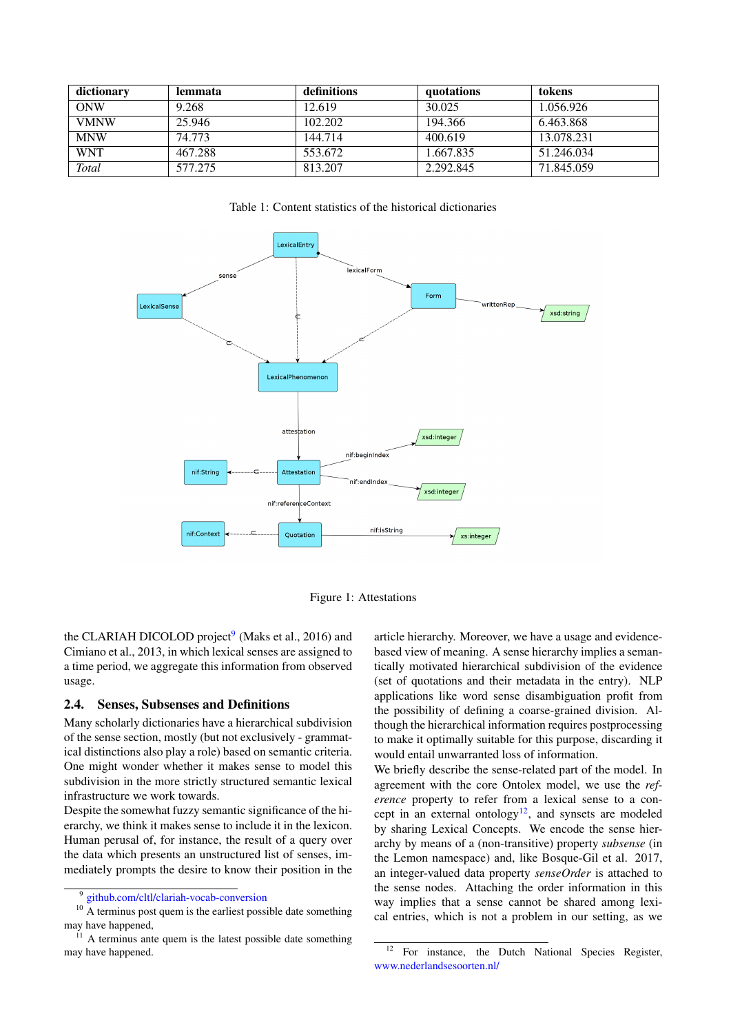| dictionary  | lemmata | definitions | quotations | tokens     |
|-------------|---------|-------------|------------|------------|
| ONW         | 9.268   | 12.619      | 30.025     | 1.056.926  |
| <b>VMNW</b> | 25.946  | 102.202     | 194.366    | 6.463.868  |
| <b>MNW</b>  | 74.773  | 144.714     | 400.619    | 13.078.231 |
| <b>WNT</b>  | 467.288 | 553.672     | 1.667.835  | 51.246.034 |
| Total       | 577.275 | 813.207     | 2.292.845  | 71.845.059 |

Table 1: Content statistics of the historical dictionaries



Figure 1: Attestations

the CLARIAH DICOLOD project<sup>[9](#page-3-0)</sup> (Maks et al., 2016) and Cimiano et al., 2013, in which lexical senses are assigned to a time period, we aggregate this information from observed usage.

## 2.4. Senses, Subsenses and Definitions

Many scholarly dictionaries have a hierarchical subdivision of the sense section, mostly (but not exclusively - grammatical distinctions also play a role) based on semantic criteria. One might wonder whether it makes sense to model this subdivision in the more strictly structured semantic lexical infrastructure we work towards.

Despite the somewhat fuzzy semantic significance of the hierarchy, we think it makes sense to include it in the lexicon. Human perusal of, for instance, the result of a query over the data which presents an unstructured list of senses, immediately prompts the desire to know their position in the article hierarchy. Moreover, we have a usage and evidencebased view of meaning. A sense hierarchy implies a semantically motivated hierarchical subdivision of the evidence (set of quotations and their metadata in the entry). NLP applications like word sense disambiguation profit from the possibility of defining a coarse-grained division. Although the hierarchical information requires postprocessing to make it optimally suitable for this purpose, discarding it would entail unwarranted loss of information.

We briefly describe the sense-related part of the model. In agreement with the core Ontolex model, we use the *reference* property to refer from a lexical sense to a con-cept in an external ontology<sup>[12](#page-3-1)</sup>, and synsets are modeled by sharing Lexical Concepts. We encode the sense hierarchy by means of a (non-transitive) property *subsense* (in the Lemon namespace) and, like Bosque-Gil et al. 2017, an integer-valued data property *senseOrder* is attached to the sense nodes. Attaching the order information in this way implies that a sense cannot be shared among lexical entries, which is not a problem in our setting, as we

<span id="page-3-2"></span><span id="page-3-0"></span><sup>9</sup> [github.com/cltl/clariah-vocab-conversion](https://github.com/cltl/clariah-vocab-conversion)

<sup>&</sup>lt;sup>10</sup> A terminus post quem is the earliest possible date something may have happened,

 $11$  A terminus ante quem is the latest possible date something may have happened.

<span id="page-3-1"></span><sup>&</sup>lt;sup>12</sup> For instance, the Dutch National Species Register, [www.nederlandsesoorten.nl/](http://www.nederlandsesoorten.nl/)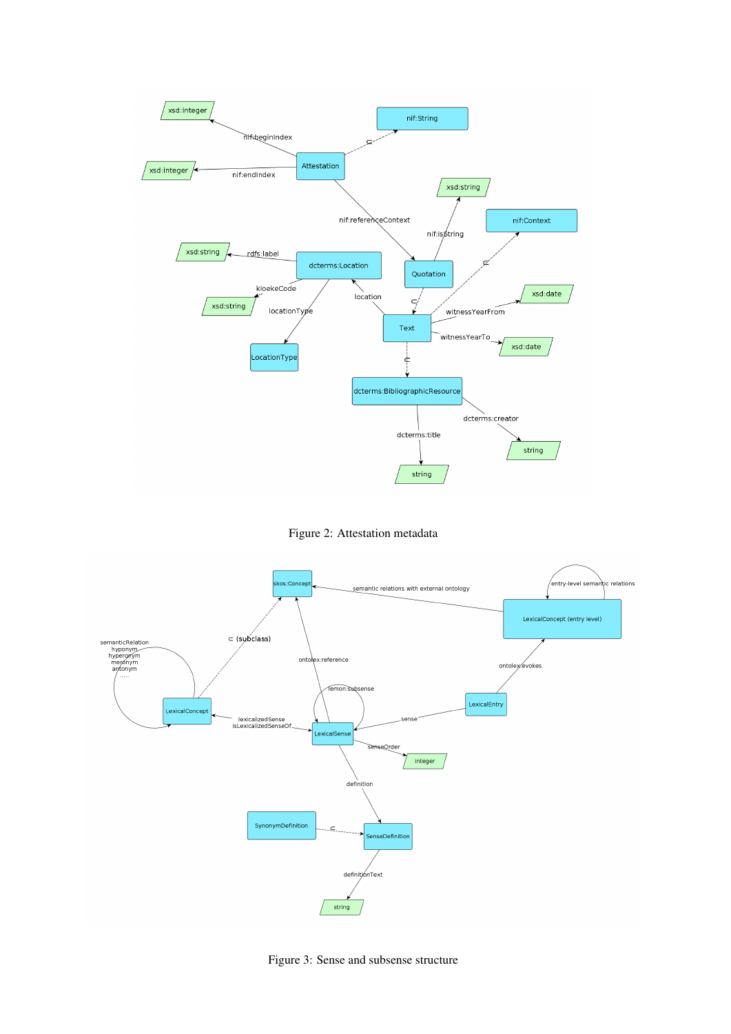

Figure 2: Attestation metadata



Figure 3: Sense and subsense structure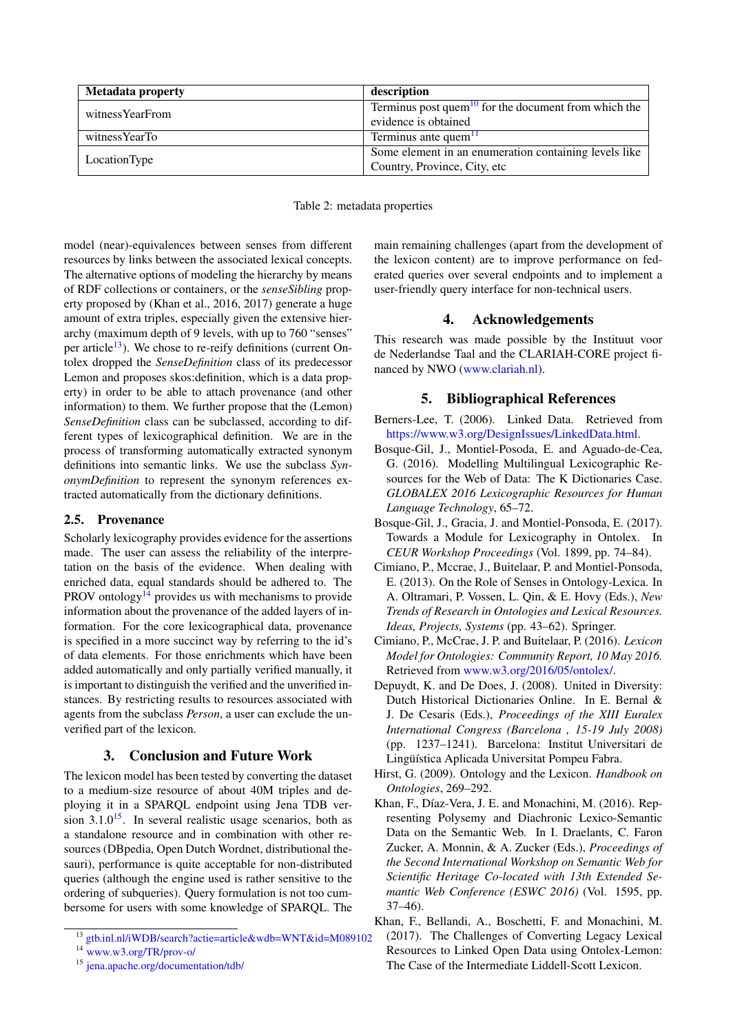| <b>Metadata property</b> | description                                                      |  |
|--------------------------|------------------------------------------------------------------|--|
| witnessYearFrom          | Terminus post quem <sup>10</sup> for the document from which the |  |
|                          | evidence is obtained                                             |  |
| witness YearTo           | Terminus ante quem <sup>11</sup>                                 |  |
| LocationType             | Some element in an enumeration containing levels like            |  |
|                          | Country, Province, City, etc                                     |  |

#### Table 2: metadata properties

model (near)-equivalences between senses from different resources by links between the associated lexical concepts. The alternative options of modeling the hierarchy by means of RDF collections or containers, or the *senseSibling* property proposed by (Khan et al., 2016, 2017) generate a huge amount of extra triples, especially given the extensive hierarchy (maximum depth of 9 levels, with up to 760 "senses" per article<sup>[13](#page-5-0)</sup>). We chose to re-reify definitions (current Ontolex dropped the *SenseDefinition* class of its predecessor Lemon and proposes skos:definition, which is a data property) in order to be able to attach provenance (and other information) to them. We further propose that the (Lemon) *SenseDefinition* class can be subclassed, according to different types of lexicographical definition. We are in the process of transforming automatically extracted synonym definitions into semantic links. We use the subclass *SynonymDefinition* to represent the synonym references extracted automatically from the dictionary definitions.

#### 2.5. Provenance

Scholarly lexicography provides evidence for the assertions made. The user can assess the reliability of the interpretation on the basis of the evidence. When dealing with enriched data, equal standards should be adhered to. The PROV ontology<sup>[14](#page-5-1)</sup> provides us with mechanisms to provide information about the provenance of the added layers of information. For the core lexicographical data, provenance is specified in a more succinct way by referring to the id's of data elements. For those enrichments which have been added automatically and only partially verified manually, it is important to distinguish the verified and the unverified instances. By restricting results to resources associated with agents from the subclass *Person*, a user can exclude the unverified part of the lexicon.

# 3. Conclusion and Future Work

The lexicon model has been tested by converting the dataset to a medium-size resource of about 40M triples and deploying it in a SPARQL endpoint using Jena TDB version  $3.1.0^{15}$  $3.1.0^{15}$  $3.1.0^{15}$ . In several realistic usage scenarios, both as a standalone resource and in combination with other resources (DBpedia, Open Dutch Wordnet, distributional thesauri), performance is quite acceptable for non-distributed queries (although the engine used is rather sensitive to the ordering of subqueries). Query formulation is not too cumbersome for users with some knowledge of SPARQL. The main remaining challenges (apart from the development of the lexicon content) are to improve performance on federated queries over several endpoints and to implement a user-friendly query interface for non-technical users.

#### 4. Acknowledgements

This research was made possible by the Instituut voor de Nederlandse Taal and the CLARIAH-CORE project financed by NWO [\(www.clariah.nl\)](http://www.clariah.nl).

# 5. Bibliographical References

- Berners-Lee, T. (2006). Linked Data. Retrieved from [https://www.w3.org/DesignIssues/LinkedData.html.](https://www.w3.org/DesignIssues/LinkedData.html)
- Bosque-Gil, J., Montiel-Posoda, E. and Aguado-de-Cea, G. (2016). Modelling Multilingual Lexicographic Resources for the Web of Data: The K Dictionaries Case. *GLOBALEX 2016 Lexicographic Resources for Human Language Technology*, 65–72.
- Bosque-Gil, J., Gracia, J. and Montiel-Ponsoda, E. (2017). Towards a Module for Lexicography in Ontolex. In *CEUR Workshop Proceedings* (Vol. 1899, pp. 74–84).
- Cimiano, P., Mccrae, J., Buitelaar, P. and Montiel-Ponsoda, E. (2013). On the Role of Senses in Ontology-Lexica. In A. Oltramari, P. Vossen, L. Qin, & E. Hovy (Eds.), *New Trends of Research in Ontologies and Lexical Resources. Ideas, Projects, Systems* (pp. 43–62). Springer.
- Cimiano, P., McCrae, J. P. and Buitelaar, P. (2016). *Lexicon Model for Ontologies: Community Report, 10 May 2016.* Retrieved from [www.w3.org/2016/05/ontolex/.](https://www.w3.org/2016/05/ontolex/)
- Depuydt, K. and De Does, J. (2008). United in Diversity: Dutch Historical Dictionaries Online. In E. Bernal & J. De Cesaris (Eds.), *Proceedings of the XIII Euralex International Congress (Barcelona , 15-19 July 2008)* (pp. 1237–1241). Barcelona: Institut Universitari de Lingüística Aplicada Universitat Pompeu Fabra.
- Hirst, G. (2009). Ontology and the Lexicon. *Handbook on Ontologies*, 269–292.
- Khan, F., Díaz-Vera, J. E. and Monachini, M. (2016). Representing Polysemy and Diachronic Lexico-Semantic Data on the Semantic Web. In I. Draelants, C. Faron Zucker, A. Monnin, & A. Zucker (Eds.), *Proceedings of the Second International Workshop on Semantic Web for Scientific Heritage Co-located with 13th Extended Semantic Web Conference (ESWC 2016)* (Vol. 1595, pp. 37–46).

<span id="page-5-0"></span><sup>13</sup> [gtb.inl.nl/iWDB/search?actie=article&wdb=WNT&id=M089102](http://gtb.inl.nl/iWDB/search?actie=article&wdb=WNT&id=M089102)

<span id="page-5-1"></span><sup>&</sup>lt;sup>14</sup> [www.w3.org/TR/prov-o/](https://www.w3.org/TR/prov-o/)

<span id="page-5-2"></span><sup>15</sup> [jena.apache.org/documentation/tdb/](https://jena.apache.org/documentation/tdb/)

Khan, F., Bellandi, A., Boschetti, F. and Monachini, M. (2017). The Challenges of Converting Legacy Lexical Resources to Linked Open Data using Ontolex-Lemon: The Case of the Intermediate Liddell-Scott Lexicon.